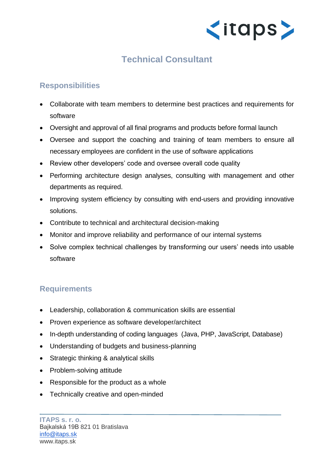

## **Technical Consultant**

## **Responsibilities**

- Collaborate with team members to determine best practices and requirements for software
- Oversight and approval of all final programs and products before formal launch
- Oversee and support the coaching and training of team members to ensure all necessary employees are confident in the use of software applications
- Review other developers' code and oversee overall code quality
- Performing architecture design analyses, consulting with management and other departments as required.
- Improving system efficiency by consulting with end-users and providing innovative solutions.
- Contribute to technical and architectural decision-making
- Monitor and improve reliability and performance of our internal systems
- Solve complex technical challenges by transforming our users' needs into usable software

## **Requirements**

- Leadership, collaboration & communication skills are essential
- Proven experience as software developer/architect
- In-depth understanding of coding languages (Java, PHP, JavaScript, Database)
- Understanding of budgets and business-planning
- Strategic thinking & analytical skills
- Problem-solving attitude
- Responsible for the product as a whole
- Technically creative and open-minded